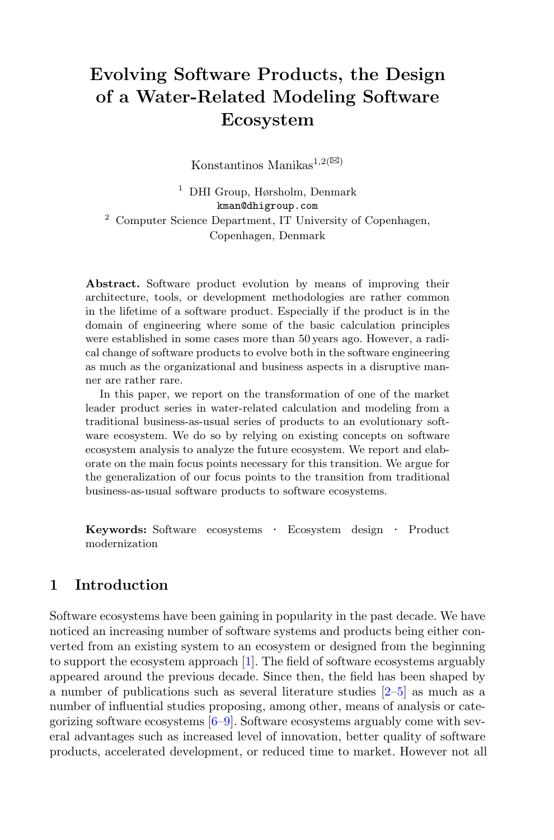# **Evolving Software Products, the Design of a Water-Related Modeling Software Ecosystem**

Konstantinos Manikas<sup>1,2( $\boxtimes$ )</sup>

<sup>1</sup> DHI Group, Hørsholm, Denmark kman@dhigroup.com <sup>2</sup> Computer Science Department, IT University of Copenhagen, Copenhagen, Denmark

**Abstract.** Software product evolution by means of improving their architecture, tools, or development methodologies are rather common in the lifetime of a software product. Especially if the product is in the domain of engineering where some of the basic calculation principles were established in some cases more than 50 years ago. However, a radical change of software products to evolve both in the software engineering as much as the organizational and business aspects in a disruptive manner are rather rare.

In this paper, we report on the transformation of one of the market leader product series in water-related calculation and modeling from a traditional business-as-usual series of products to an evolutionary software ecosystem. We do so by relying on existing concepts on software ecosystem analysis to analyze the future ecosystem. We report and elaborate on the main focus points necessary for this transition. We argue for the generalization of our focus points to the transition from traditional business-as-usual software products to software ecosystems.

**Keywords:** Software ecosystems *·* Ecosystem design *·* Product modernization

## **1 Introduction**

Software ecosystems have been gaining in popularity in the past decade. We have noticed an increasing number of software systems and products being either converted from an existing system to an ecosystem or designed from the beginning to support the ecosystem approach [\[1\]](#page-5-0). The field of software ecosystems arguably appeared around the previous decade. Since then, the field has been shaped by a number of publications such as several literature studies [\[2](#page-5-1)[–5](#page-5-2)] as much as a number of influential studies proposing, among other, means of analysis or categorizing software ecosystems [\[6](#page-5-3)[–9\]](#page-5-4). Software ecosystems arguably come with several advantages such as increased level of innovation, better quality of software products, accelerated development, or reduced time to market. However not all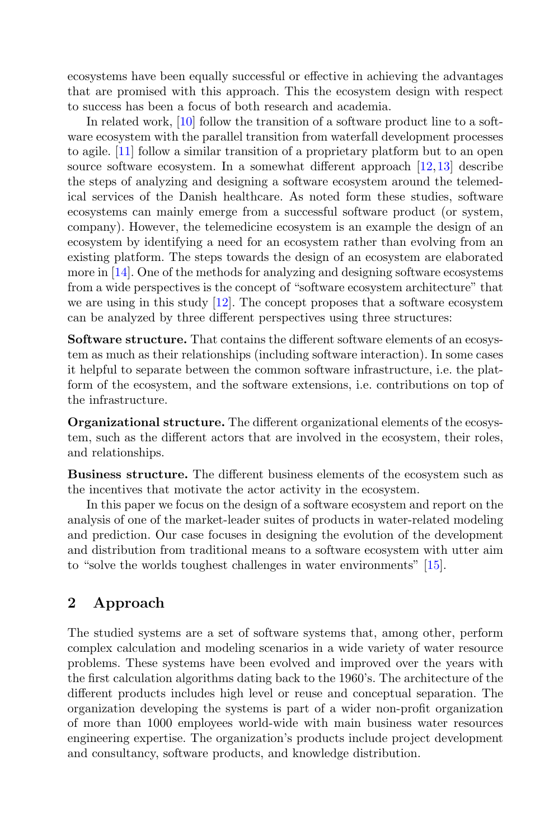ecosystems have been equally successful or effective in achieving the advantages that are promised with this approach. This the ecosystem design with respect to success has been a focus of both research and academia.

In related work, [\[10\]](#page-5-5) follow the transition of a software product line to a software ecosystem with the parallel transition from waterfall development processes to agile. [\[11\]](#page-5-6) follow a similar transition of a proprietary platform but to an open source software ecosystem. In a somewhat different approach [\[12](#page-5-7)[,13](#page-6-0)] describe the steps of analyzing and designing a software ecosystem around the telemedical services of the Danish healthcare. As noted form these studies, software ecosystems can mainly emerge from a successful software product (or system, company). However, the telemedicine ecosystem is an example the design of an ecosystem by identifying a need for an ecosystem rather than evolving from an existing platform. The steps towards the design of an ecosystem are elaborated more in [\[14\]](#page-6-1). One of the methods for analyzing and designing software ecosystems from a wide perspectives is the concept of "software ecosystem architecture" that we are using in this study  $[12]$  $[12]$ . The concept proposes that a software ecosystem can be analyzed by three different perspectives using three structures:

**Software structure.** That contains the different software elements of an ecosystem as much as their relationships (including software interaction). In some cases it helpful to separate between the common software infrastructure, i.e. the platform of the ecosystem, and the software extensions, i.e. contributions on top of the infrastructure.

**Organizational structure.** The different organizational elements of the ecosystem, such as the different actors that are involved in the ecosystem, their roles, and relationships.

**Business structure.** The different business elements of the ecosystem such as the incentives that motivate the actor activity in the ecosystem.

In this paper we focus on the design of a software ecosystem and report on the analysis of one of the market-leader suites of products in water-related modeling and prediction. Our case focuses in designing the evolution of the development and distribution from traditional means to a software ecosystem with utter aim to "solve the worlds toughest challenges in water environments" [\[15\]](#page-6-2).

## **2 Approach**

The studied systems are a set of software systems that, among other, perform complex calculation and modeling scenarios in a wide variety of water resource problems. These systems have been evolved and improved over the years with the first calculation algorithms dating back to the 1960's. The architecture of the different products includes high level or reuse and conceptual separation. The organization developing the systems is part of a wider non-profit organization of more than 1000 employees world-wide with main business water resources engineering expertise. The organization's products include project development and consultancy, software products, and knowledge distribution.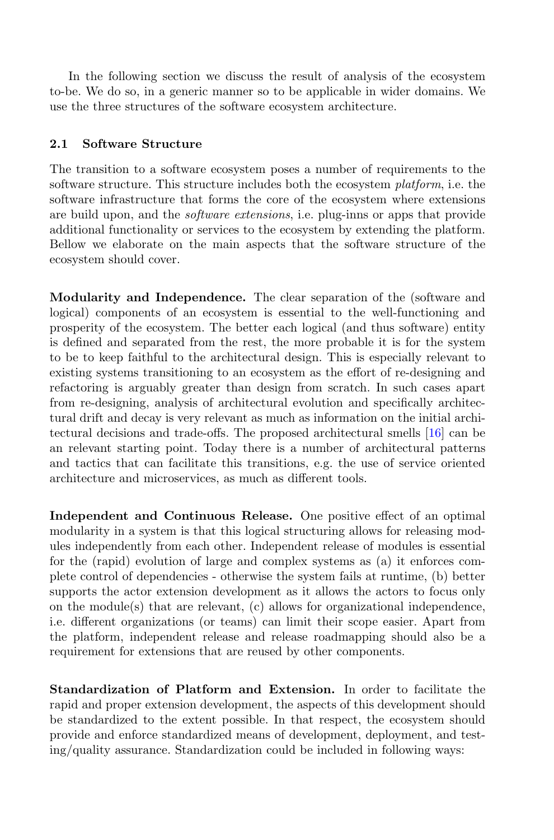In the following section we discuss the result of analysis of the ecosystem to-be. We do so, in a generic manner so to be applicable in wider domains. We use the three structures of the software ecosystem architecture.

#### **2.1 Software Structure**

The transition to a software ecosystem poses a number of requirements to the software structure. This structure includes both the ecosystem *platform*, i.e. the software infrastructure that forms the core of the ecosystem where extensions are build upon, and the *software extensions*, i.e. plug-inns or apps that provide additional functionality or services to the ecosystem by extending the platform. Bellow we elaborate on the main aspects that the software structure of the ecosystem should cover.

**Modularity and Independence.** The clear separation of the (software and logical) components of an ecosystem is essential to the well-functioning and prosperity of the ecosystem. The better each logical (and thus software) entity is defined and separated from the rest, the more probable it is for the system to be to keep faithful to the architectural design. This is especially relevant to existing systems transitioning to an ecosystem as the effort of re-designing and refactoring is arguably greater than design from scratch. In such cases apart from re-designing, analysis of architectural evolution and specifically architectural drift and decay is very relevant as much as information on the initial architectural decisions and trade-offs. The proposed architectural smells [\[16](#page-6-3)] can be an relevant starting point. Today there is a number of architectural patterns and tactics that can facilitate this transitions, e.g. the use of service oriented architecture and microservices, as much as different tools.

**Independent and Continuous Release.** One positive effect of an optimal modularity in a system is that this logical structuring allows for releasing modules independently from each other. Independent release of modules is essential for the (rapid) evolution of large and complex systems as (a) it enforces complete control of dependencies - otherwise the system fails at runtime, (b) better supports the actor extension development as it allows the actors to focus only on the module(s) that are relevant,  $(c)$  allows for organizational independence, i.e. different organizations (or teams) can limit their scope easier. Apart from the platform, independent release and release roadmapping should also be a requirement for extensions that are reused by other components.

**Standardization of Platform and Extension.** In order to facilitate the rapid and proper extension development, the aspects of this development should be standardized to the extent possible. In that respect, the ecosystem should provide and enforce standardized means of development, deployment, and testing/quality assurance. Standardization could be included in following ways: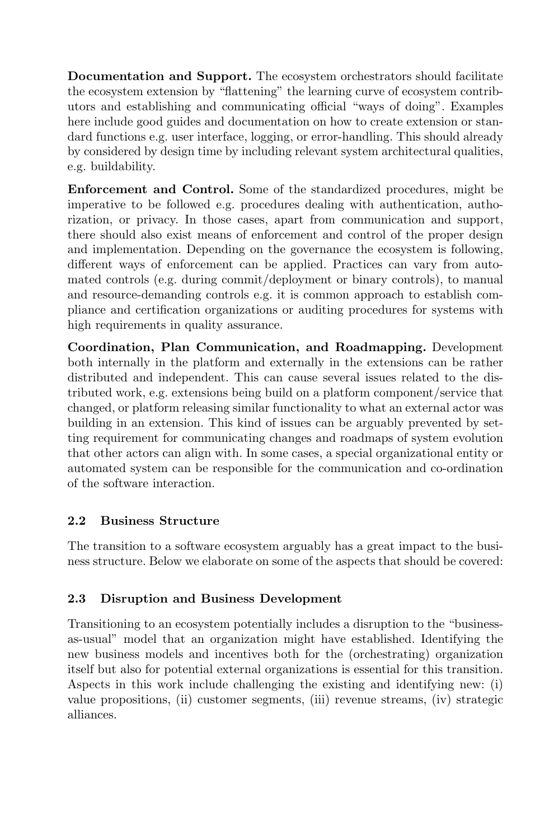**Documentation and Support.** The ecosystem orchestrators should facilitate the ecosystem extension by "flattening" the learning curve of ecosystem contributors and establishing and communicating official "ways of doing". Examples here include good guides and documentation on how to create extension or standard functions e.g. user interface, logging, or error-handling. This should already by considered by design time by including relevant system architectural qualities, e.g. buildability.

**Enforcement and Control.** Some of the standardized procedures, might be imperative to be followed e.g. procedures dealing with authentication, authorization, or privacy. In those cases, apart from communication and support, there should also exist means of enforcement and control of the proper design and implementation. Depending on the governance the ecosystem is following, different ways of enforcement can be applied. Practices can vary from automated controls (e.g. during commit/deployment or binary controls), to manual and resource-demanding controls e.g. it is common approach to establish compliance and certification organizations or auditing procedures for systems with high requirements in quality assurance.

**Coordination, Plan Communication, and Roadmapping.** Development both internally in the platform and externally in the extensions can be rather distributed and independent. This can cause several issues related to the distributed work, e.g. extensions being build on a platform component/service that changed, or platform releasing similar functionality to what an external actor was building in an extension. This kind of issues can be arguably prevented by setting requirement for communicating changes and roadmaps of system evolution that other actors can align with. In some cases, a special organizational entity or automated system can be responsible for the communication and co-ordination of the software interaction.

#### **2.2 Business Structure**

The transition to a software ecosystem arguably has a great impact to the business structure. Below we elaborate on some of the aspects that should be covered:

#### **2.3 Disruption and Business Development**

Transitioning to an ecosystem potentially includes a disruption to the "businessas-usual" model that an organization might have established. Identifying the new business models and incentives both for the (orchestrating) organization itself but also for potential external organizations is essential for this transition. Aspects in this work include challenging the existing and identifying new: (i) value propositions, (ii) customer segments, (iii) revenue streams, (iv) strategic alliances.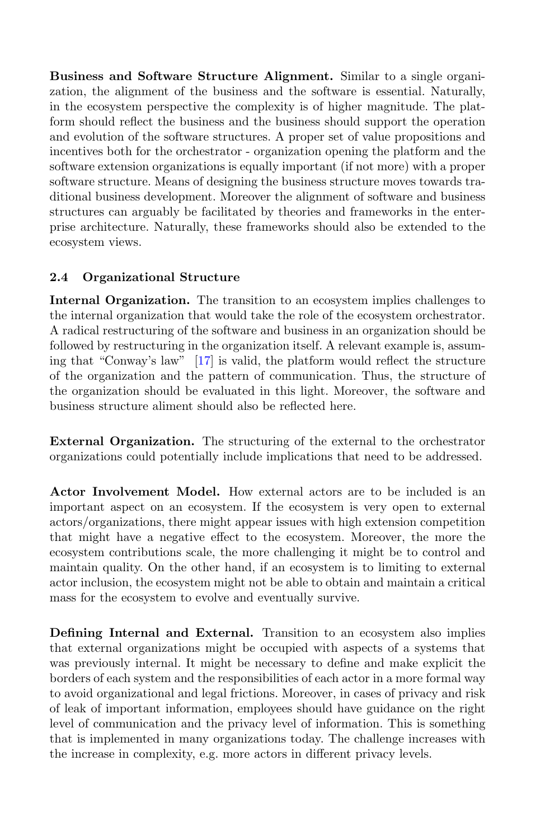**Business and Software Structure Alignment.** Similar to a single organization, the alignment of the business and the software is essential. Naturally, in the ecosystem perspective the complexity is of higher magnitude. The platform should reflect the business and the business should support the operation and evolution of the software structures. A proper set of value propositions and incentives both for the orchestrator - organization opening the platform and the software extension organizations is equally important (if not more) with a proper software structure. Means of designing the business structure moves towards traditional business development. Moreover the alignment of software and business structures can arguably be facilitated by theories and frameworks in the enterprise architecture. Naturally, these frameworks should also be extended to the ecosystem views.

### **2.4 Organizational Structure**

**Internal Organization.** The transition to an ecosystem implies challenges to the internal organization that would take the role of the ecosystem orchestrator. A radical restructuring of the software and business in an organization should be followed by restructuring in the organization itself. A relevant example is, assuming that "Conway's law" [\[17](#page-6-4)] is valid, the platform would reflect the structure of the organization and the pattern of communication. Thus, the structure of the organization should be evaluated in this light. Moreover, the software and business structure aliment should also be reflected here.

**External Organization.** The structuring of the external to the orchestrator organizations could potentially include implications that need to be addressed.

**Actor Involvement Model.** How external actors are to be included is an important aspect on an ecosystem. If the ecosystem is very open to external actors/organizations, there might appear issues with high extension competition that might have a negative effect to the ecosystem. Moreover, the more the ecosystem contributions scale, the more challenging it might be to control and maintain quality. On the other hand, if an ecosystem is to limiting to external actor inclusion, the ecosystem might not be able to obtain and maintain a critical mass for the ecosystem to evolve and eventually survive.

**Defining Internal and External.** Transition to an ecosystem also implies that external organizations might be occupied with aspects of a systems that was previously internal. It might be necessary to define and make explicit the borders of each system and the responsibilities of each actor in a more formal way to avoid organizational and legal frictions. Moreover, in cases of privacy and risk of leak of important information, employees should have guidance on the right level of communication and the privacy level of information. This is something that is implemented in many organizations today. The challenge increases with the increase in complexity, e.g. more actors in different privacy levels.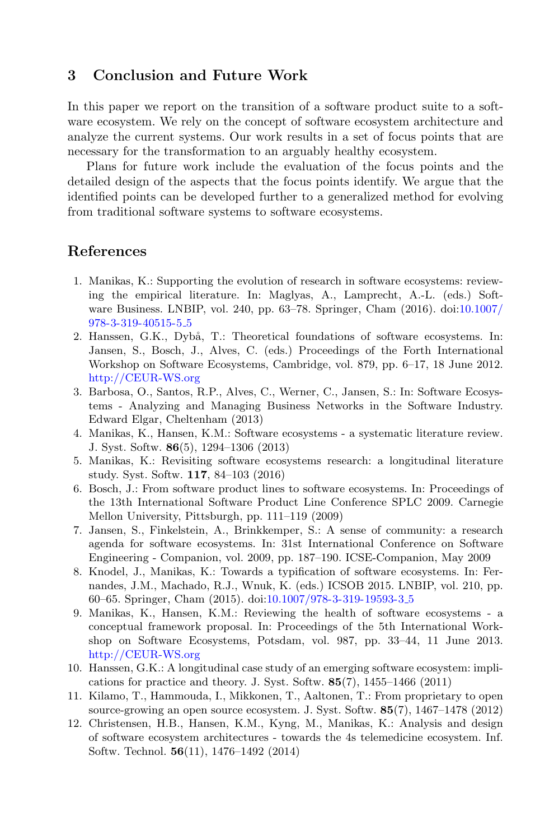#### **3 Conclusion and Future Work**

In this paper we report on the transition of a software product suite to a software ecosystem. We rely on the concept of software ecosystem architecture and analyze the current systems. Our work results in a set of focus points that are necessary for the transformation to an arguably healthy ecosystem.

Plans for future work include the evaluation of the focus points and the detailed design of the aspects that the focus points identify. We argue that the identified points can be developed further to a generalized method for evolving from traditional software systems to software ecosystems.

### <span id="page-5-0"></span>**References**

- 1. Manikas, K.: Supporting the evolution of research in software ecosystems: reviewing the empirical literature. In: Maglyas, A., Lamprecht, A.-L. (eds.) Software Business. LNBIP, vol. 240, pp. 63–78. Springer, Cham (2016). doi[:10.1007/](http://dx.doi.org/10.1007/978-3-319-40515-5_5) [978-3-319-40515-5](http://dx.doi.org/10.1007/978-3-319-40515-5_5) 5
- <span id="page-5-1"></span>2. Hanssen, G.K., Dybå, T.: Theoretical foundations of software ecosystems. In: Jansen, S., Bosch, J., Alves, C. (eds.) Proceedings of the Forth International Workshop on Software Ecosystems, Cambridge, vol. 879, pp. 6–17, 18 June 2012. <http://CEUR-WS.org>
- 3. Barbosa, O., Santos, R.P., Alves, C., Werner, C., Jansen, S.: In: Software Ecosystems - Analyzing and Managing Business Networks in the Software Industry. Edward Elgar, Cheltenham (2013)
- 4. Manikas, K., Hansen, K.M.: Software ecosystems a systematic literature review. J. Syst. Softw. **86**(5), 1294–1306 (2013)
- <span id="page-5-2"></span>5. Manikas, K.: Revisiting software ecosystems research: a longitudinal literature study. Syst. Softw. **117**, 84–103 (2016)
- <span id="page-5-3"></span>6. Bosch, J.: From software product lines to software ecosystems. In: Proceedings of the 13th International Software Product Line Conference SPLC 2009. Carnegie Mellon University, Pittsburgh, pp. 111–119 (2009)
- 7. Jansen, S., Finkelstein, A., Brinkkemper, S.: A sense of community: a research agenda for software ecosystems. In: 31st International Conference on Software Engineering - Companion, vol. 2009, pp. 187–190. ICSE-Companion, May 2009
- 8. Knodel, J., Manikas, K.: Towards a typification of software ecosystems. In: Fernandes, J.M., Machado, R.J., Wnuk, K. (eds.) ICSOB 2015. LNBIP, vol. 210, pp. 60–65. Springer, Cham (2015). doi[:10.1007/978-3-319-19593-3](http://dx.doi.org/10.1007/978-3-319-19593-3_5) 5
- <span id="page-5-4"></span>9. Manikas, K., Hansen, K.M.: Reviewing the health of software ecosystems - a conceptual framework proposal. In: Proceedings of the 5th International Workshop on Software Ecosystems, Potsdam, vol. 987, pp. 33–44, 11 June 2013. <http://CEUR-WS.org>
- <span id="page-5-5"></span>10. Hanssen, G.K.: A longitudinal case study of an emerging software ecosystem: implications for practice and theory. J. Syst. Softw. **85**(7), 1455–1466 (2011)
- <span id="page-5-6"></span>11. Kilamo, T., Hammouda, I., Mikkonen, T., Aaltonen, T.: From proprietary to open source-growing an open source ecosystem. J. Syst. Softw. **85**(7), 1467–1478 (2012)
- <span id="page-5-7"></span>12. Christensen, H.B., Hansen, K.M., Kyng, M., Manikas, K.: Analysis and design of software ecosystem architectures - towards the 4s telemedicine ecosystem. Inf. Softw. Technol. **56**(11), 1476–1492 (2014)